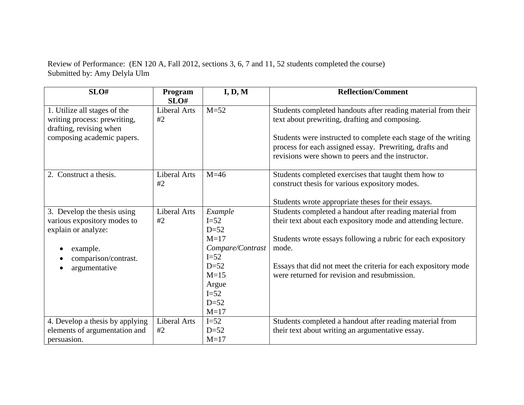Review of Performance: (EN 120 A, Fall 2012, sections 3, 6, 7 and 11, 52 students completed the course) Submitted by: Amy Delyla Ulm

| SLO#                                                                                                                                   | Program<br>SLO#           | I, D, M                                                                                                                        | <b>Reflection/Comment</b>                                                                                                                                                                                                                                                                                           |
|----------------------------------------------------------------------------------------------------------------------------------------|---------------------------|--------------------------------------------------------------------------------------------------------------------------------|---------------------------------------------------------------------------------------------------------------------------------------------------------------------------------------------------------------------------------------------------------------------------------------------------------------------|
| 1. Utilize all stages of the<br>writing process: prewriting,<br>drafting, revising when<br>composing academic papers.                  | Liberal Arts<br>#2        | $M = 52$                                                                                                                       | Students completed handouts after reading material from their<br>text about prewriting, drafting and composing.<br>Students were instructed to complete each stage of the writing<br>process for each assigned essay. Prewriting, drafts and<br>revisions were shown to peers and the instructor.                   |
| 2. Construct a thesis.                                                                                                                 | <b>Liberal Arts</b><br>#2 | $M=46$                                                                                                                         | Students completed exercises that taught them how to<br>construct thesis for various expository modes.<br>Students wrote appropriate theses for their essays.                                                                                                                                                       |
| 3. Develop the thesis using<br>various expository modes to<br>explain or analyze:<br>example.<br>comparison/contrast.<br>argumentative | Liberal Arts<br>#2        | Example<br>$I=52$<br>$D=52$<br>$M=17$<br>Compare/Contrast<br>$I=52$<br>$D=52$<br>$M=15$<br>Argue<br>$I=52$<br>$D=52$<br>$M=17$ | Students completed a handout after reading material from<br>their text about each expository mode and attending lecture.<br>Students wrote essays following a rubric for each expository<br>mode.<br>Essays that did not meet the criteria for each expository mode<br>were returned for revision and resubmission. |
| 4. Develop a thesis by applying<br>elements of argumentation and<br>persuasion.                                                        | <b>Liberal Arts</b><br>#2 | $I=52$<br>$D=52$<br>$M=17$                                                                                                     | Students completed a handout after reading material from<br>their text about writing an argumentative essay.                                                                                                                                                                                                        |